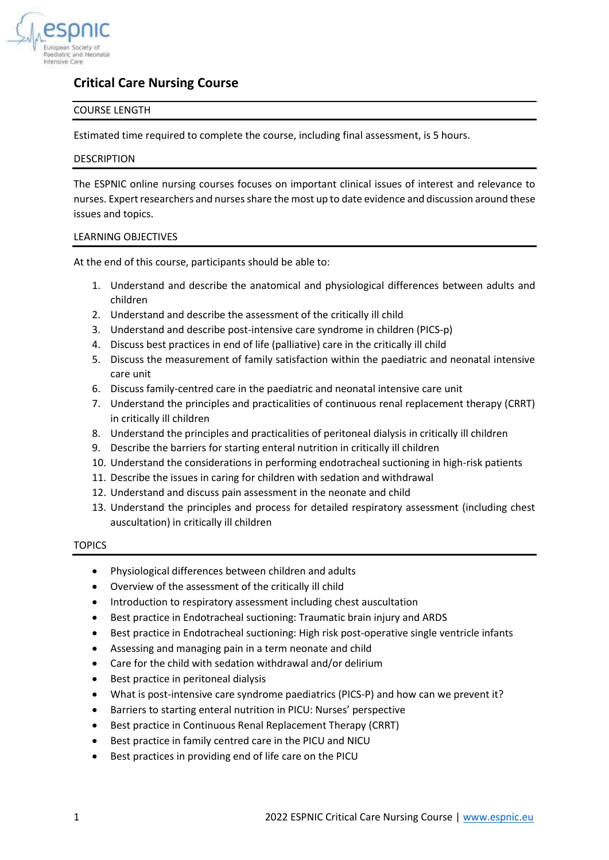

# **Critical Care Nursing Course**

# COURSE LENGTH

Estimated time required to complete the course, including final assessment, is 5 hours.

# DESCRIPTION

The ESPNIC online nursing courses focuses on important clinical issues of interest and relevance to nurses. Expert researchers and nurses share the most up to date evidence and discussion around these issues and topics.

# LEARNING OBJECTIVES

At the end of this course, participants should be able to:

- 1. Understand and describe the anatomical and physiological differences between adults and children
- 2. Understand and describe the assessment of the critically ill child
- 3. Understand and describe post-intensive care syndrome in children (PICS-p)
- 4. Discuss best practices in end of life (palliative) care in the critically ill child
- 5. Discuss the measurement of family satisfaction within the paediatric and neonatal intensive care unit
- 6. Discuss family-centred care in the paediatric and neonatal intensive care unit
- 7. Understand the principles and practicalities of continuous renal replacement therapy (CRRT) in critically ill children
- 8. Understand the principles and practicalities of peritoneal dialysis in critically ill children
- 9. Describe the barriers for starting enteral nutrition in critically ill children
- 10. Understand the considerations in performing endotracheal suctioning in high-risk patients
- 11. Describe the issues in caring for children with sedation and withdrawal
- 12. Understand and discuss pain assessment in the neonate and child
- 13. Understand the principles and process for detailed respiratory assessment (including chest auscultation) in critically ill children

# TOPICS

- Physiological differences between children and adults
- Overview of the assessment of the critically ill child
- Introduction to respiratory assessment including chest auscultation
- Best practice in Endotracheal suctioning: Traumatic brain injury and ARDS
- Best practice in Endotracheal suctioning: High risk post-operative single ventricle infants
- Assessing and managing pain in a term neonate and child
- Care for the child with sedation withdrawal and/or delirium
- Best practice in peritoneal dialysis
- What is post-intensive care syndrome paediatrics (PICS-P) and how can we prevent it?
- Barriers to starting enteral nutrition in PICU: Nurses' perspective
- Best practice in Continuous Renal Replacement Therapy (CRRT)
- Best practice in family centred care in the PICU and NICU
- Best practices in providing end of life care on the PICU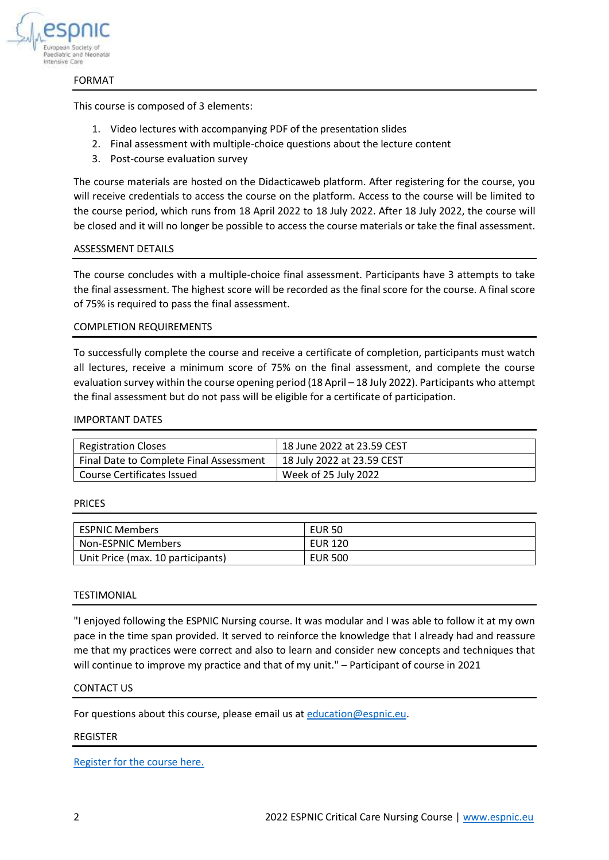

## FORMAT

This course is composed of 3 elements:

- 1. Video lectures with accompanying PDF of the presentation slides
- 2. Final assessment with multiple-choice questions about the lecture content
- 3. Post-course evaluation survey

The course materials are hosted on the Didacticaweb platform. After registering for the course, you will receive credentials to access the course on the platform. Access to the course will be limited to the course period, which runs from 18 April 2022 to 18 July 2022. After 18 July 2022, the course will be closed and it will no longer be possible to access the course materials or take the final assessment.

## ASSESSMENT DETAILS

The course concludes with a multiple-choice final assessment. Participants have 3 attempts to take the final assessment. The highest score will be recorded as the final score for the course. A final score of 75% is required to pass the final assessment.

## COMPLETION REQUIREMENTS

To successfully complete the course and receive a certificate of completion, participants must watch all lectures, receive a minimum score of 75% on the final assessment, and complete the course evaluation survey within the course opening period (18 April – 18 July 2022). Participants who attempt the final assessment but do not pass will be eligible for a certificate of participation.

## IMPORTANT DATES

| <b>Registration Closes</b>              | 18 June 2022 at 23.59 CEST |
|-----------------------------------------|----------------------------|
| Final Date to Complete Final Assessment | 18 July 2022 at 23.59 CEST |
| Course Certificates Issued              | Week of 25 July 2022       |

## PRICES

| <b>ESPNIC Members</b>             | <b>EUR 50</b>  |
|-----------------------------------|----------------|
| Non-ESPNIC Members                | <b>EUR 120</b> |
| Unit Price (max. 10 participants) | <b>EUR 500</b> |

## TESTIMONIAL

"I enjoyed following the ESPNIC Nursing course. It was modular and I was able to follow it at my own pace in the time span provided. It served to reinforce the knowledge that I already had and reassure me that my practices were correct and also to learn and consider new concepts and techniques that will continue to improve my practice and that of my unit." – Participant of course in 2021

## CONTACT US

For questions about this course, please email us at [education@espnic.eu.](mailto:education@espnic.eu)

## REGISTER

[Register for the course here.](https://www.espnic.online/index.php/courses/nursing-course)